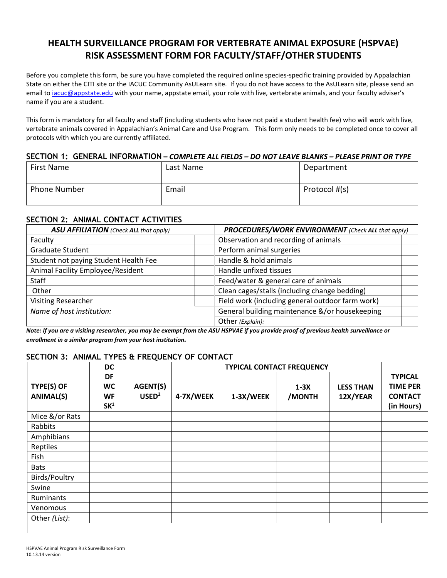# **HEALTH SURVEILLANCE PROGRAM FOR VERTEBRATE ANIMAL EXPOSURE (HSPVAE) RISK ASSESSMENT FORM FOR FACULTY/STAFF/OTHER STUDENTS**

Before you complete this form, be sure you have completed the required online species-specific training provided by Appalachian State on either the CITI site or the IACUC Community AsULearn site. If you do not have access to the AsULearn site, please send an email to *iacuc@appstate.edu* with your name, appstate email, your role with live, vertebrate animals, and your faculty adviser's name if you are a student.

This form is mandatory for all faculty and staff (including students who have not paid a student health fee) who will work with live, vertebrate animals covered in Appalachian's Animal Care and Use Program. This form only needs to be completed once to cover all protocols with which you are currently affiliated.

#### **SECTION 1: GENERAL INFORMATION –** *COMPLETE ALL FIELDS – DO NOT LEAVE BLANKS – PLEASE PRINT OR TYPE*

| First Name          | Last Name | Department    |
|---------------------|-----------|---------------|
| <b>Phone Number</b> | Email     | Protocol #(s) |

#### **SECTION 2: ANIMAL CONTACT ACTIVITIES**

| <b>ASU AFFILIATION</b> (Check ALL that apply) | <b>PROCEDURES/WORK ENVIRONMENT</b> (Check ALL that apply) |  |  |
|-----------------------------------------------|-----------------------------------------------------------|--|--|
| Faculty                                       | Observation and recording of animals                      |  |  |
| <b>Graduate Student</b>                       | Perform animal surgeries                                  |  |  |
| Student not paying Student Health Fee         | Handle & hold animals                                     |  |  |
| Animal Facility Employee/Resident             | Handle unfixed tissues                                    |  |  |
| Staff                                         | Feed/water & general care of animals                      |  |  |
| Other                                         | Clean cages/stalls (including change bedding)             |  |  |
| <b>Visiting Researcher</b>                    | Field work (including general outdoor farm work)          |  |  |
| Name of host institution:                     | General building maintenance &/or housekeeping            |  |  |
|                                               | Other (Explain):                                          |  |  |

*Note: If you are a visiting researcher, you may be exempt from the ASU HSPVAE if you provide proof of previous health surveillance or enrollment in a similar program from your host institution.*

## **SECTION 3: ANIMAL TYPES & FREQUENCY OF CONTACT**

| <b>DC</b>                      |                                   | <b>TYPICAL CONTACT FREQUENCY</b> |           |           |                  |                              |                                                                   |
|--------------------------------|-----------------------------------|----------------------------------|-----------|-----------|------------------|------------------------------|-------------------------------------------------------------------|
| TYPE(S) OF<br><b>ANIMAL(S)</b> | DF<br>WC<br>WF<br>SK <sup>1</sup> | AGENT(S)<br>USED <sup>2</sup>    | 4-7X/WEEK | 1-3X/WEEK | $1-3X$<br>/MONTH | <b>LESS THAN</b><br>12X/YEAR | <b>TYPICAL</b><br><b>TIME PER</b><br><b>CONTACT</b><br>(in Hours) |
| Mice &/or Rats                 |                                   |                                  |           |           |                  |                              |                                                                   |
| Rabbits                        |                                   |                                  |           |           |                  |                              |                                                                   |
| Amphibians                     |                                   |                                  |           |           |                  |                              |                                                                   |
| Reptiles                       |                                   |                                  |           |           |                  |                              |                                                                   |
| Fish                           |                                   |                                  |           |           |                  |                              |                                                                   |
| <b>Bats</b>                    |                                   |                                  |           |           |                  |                              |                                                                   |
| Birds/Poultry                  |                                   |                                  |           |           |                  |                              |                                                                   |
| Swine                          |                                   |                                  |           |           |                  |                              |                                                                   |
| Ruminants                      |                                   |                                  |           |           |                  |                              |                                                                   |
| Venomous                       |                                   |                                  |           |           |                  |                              |                                                                   |
| Other (List):                  |                                   |                                  |           |           |                  |                              |                                                                   |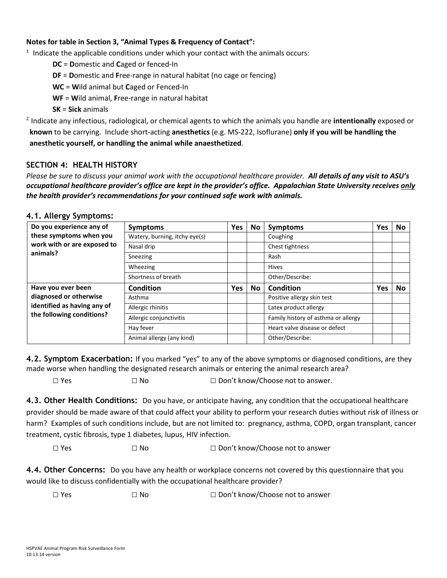#### **Notes for table in Section 3, "Animal Types & Frequency of Contact":**

 $1$  Indicate the applicable conditions under which your contact with the animals occurs:

**DC** = **D**omestic and **C**aged or fenced-In

**DF** = **D**omestic and **F**ree-range in natural habitat (no cage or fencing)

**WC** = **W**ild animal but **C**aged or Fenced-In

**WF** = **W**ild animal, **F**ree-range in natural habitat

**SK** = **Sick** animals

<sup>2</sup> Indicate any infectious, radiological, or chemical agents to which the animals you handle are **intentionally** exposed or **known** to be carrying. Include short-acting **anesthetics** (e.g. MS-222, Isoflurane) **only if you will be handling the anesthetic yourself, or handling the animal while anaesthetized**.

#### **SECTION 4: HEALTH HISTORY**

*Please be sure to discuss your animal work with the occupational healthcare provider. All details of any visit to ASU's occupational healthcare provider's office are kept in the provider's office. Appalachian State University receives only the health provider's recommendations for your continued safe work with animals.*

#### **4.1. Allergy Symptoms:**

| Do you experience any of                                 | <b>Symptoms</b>               | <b>Yes</b> | No        | <b>Symptoms</b>                     | Yes | <b>No</b> |
|----------------------------------------------------------|-------------------------------|------------|-----------|-------------------------------------|-----|-----------|
| these symptoms when you                                  | Watery, burning, itchy eye(s) |            |           | Coughing                            |     |           |
| work with or are exposed to                              | Nasal drip                    |            |           | Chest tightness                     |     |           |
| animals?                                                 | Sneezing                      |            |           | Rash                                |     |           |
|                                                          | Wheezing                      |            |           | <b>Hives</b>                        |     |           |
|                                                          | Shortness of breath           |            |           | Other/Describe:                     |     |           |
| Have you ever been                                       | Condition                     | <b>Yes</b> | <b>No</b> | <b>Condition</b>                    | Yes | <b>No</b> |
| diagnosed or otherwise                                   | Asthma                        |            |           | Positive allergy skin test          |     |           |
| identified as having any of<br>the following conditions? | Allergic rhinitis             |            |           | Latex product allergy               |     |           |
|                                                          | Allergic conjunctivitis       |            |           | Family history of asthma or allergy |     |           |
|                                                          | Hay fever                     |            |           | Heart valve disease or defect       |     |           |
|                                                          | Animal allergy (any kind)     |            |           | Other/Describe:                     |     |           |

**4.2. Symptom Exacerbation:** If you marked "yes" to any of the above symptoms or diagnosed conditions, are they made worse when handling the designated research animals or entering the animal research area?

 $\square$  Yes  $\square$  No  $\square$  Don't know/Choose not to answer.

**4.3. Other Health Conditions:** Do you have, or anticipate having, any condition that the occupational healthcare provider should be made aware of that could affect your ability to perform your research duties without risk of illness or harm? Examples of such conditions include, but are not limited to: pregnancy, asthma, COPD, organ transplant, cancer treatment, cystic fibrosis, type 1 diabetes, lupus, HIV infection.

□ Yes □ No □ Don't know/Choose not to answer

**4.4. Other Concerns:** Do you have any health or workplace concerns not covered by this questionnaire that you would like to discuss confidentially with the occupational healthcare provider?

□ Yes □ No □ Don't know/Choose not to answer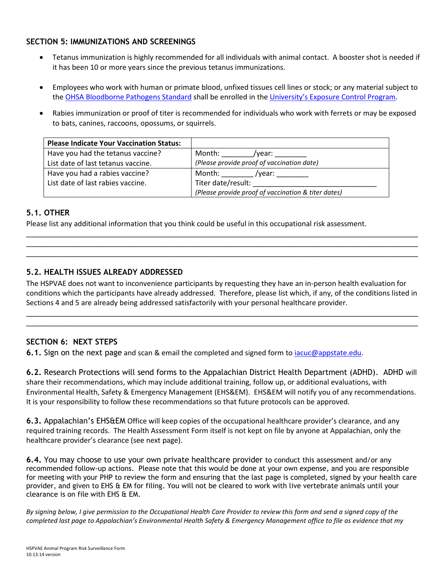## **SECTION 5: IMMUNIZATIONS AND SCREENINGS**

- Tetanus immunization is highly recommended for all individuals with animal contact. A booster shot is needed if it has been 10 or more years since the previous tetanus immunizations.
- Employees who work with human or primate blood, unfixed tissues cell lines or stock; or any material subject to the [OHSA Bloodborne Pathogens](https://www.osha.gov/OshDoc/data_BloodborneFacts/bbfact01.pdf) Standard shall be enrolled in the University's [Exposure Control Program.](http://safety.appstate.edu/bloodborne-pathogens)
- Rabies immunization or proof of titer is recommended for individuals who work with ferrets or may be exposed to bats, canines, raccoons, opossums, or squirrels.

| <b>Please Indicate Your Vaccination Status:</b> |                                                     |
|-------------------------------------------------|-----------------------------------------------------|
| Have you had the tetanus vaccine?               | Month:<br>/vear:                                    |
| List date of last tetanus vaccine.              | (Please provide proof of vaccination date)          |
| Have you had a rabies vaccine?                  | Month: $\_\_$<br>/year:                             |
| List date of last rabies vaccine.               | Titer date/result:                                  |
|                                                 | (Please provide proof of vaccination & titer dates) |

## **5.1. OTHER**

Please list any additional information that you think could be useful in this occupational risk assessment.

## **5.2. HEALTH ISSUES ALREADY ADDRESSED**

The HSPVAE does not want to inconvenience participants by requesting they have an in-person health evaluation for conditions which the participants have already addressed. Therefore, please list which, if any, of the conditions listed in Sections 4 and 5 are already being addressed satisfactorily with your personal healthcare provider.

\_\_\_\_\_\_\_\_\_\_\_\_\_\_\_\_\_\_\_\_\_\_\_\_\_\_\_\_\_\_\_\_\_\_\_\_\_\_\_\_\_\_\_\_\_\_\_\_\_\_\_\_\_\_\_\_\_\_\_\_\_\_\_\_\_\_\_\_\_\_\_\_\_\_\_\_\_\_\_\_\_\_\_\_\_\_\_\_\_\_\_\_\_\_\_\_\_\_ \_\_\_\_\_\_\_\_\_\_\_\_\_\_\_\_\_\_\_\_\_\_\_\_\_\_\_\_\_\_\_\_\_\_\_\_\_\_\_\_\_\_\_\_\_\_\_\_\_\_\_\_\_\_\_\_\_\_\_\_\_\_\_\_\_\_\_\_\_\_\_\_\_\_\_\_\_\_\_\_\_\_\_\_\_\_\_\_\_\_\_\_\_\_\_\_\_\_

\_\_\_\_\_\_\_\_\_\_\_\_\_\_\_\_\_\_\_\_\_\_\_\_\_\_\_\_\_\_\_\_\_\_\_\_\_\_\_\_\_\_\_\_\_\_\_\_\_\_\_\_\_\_\_\_\_\_\_\_\_\_\_\_\_\_\_\_\_\_\_\_\_\_\_\_\_\_\_\_\_\_\_\_\_\_\_\_\_\_\_\_\_\_\_\_\_\_ \_\_\_\_\_\_\_\_\_\_\_\_\_\_\_\_\_\_\_\_\_\_\_\_\_\_\_\_\_\_\_\_\_\_\_\_\_\_\_\_\_\_\_\_\_\_\_\_\_\_\_\_\_\_\_\_\_\_\_\_\_\_\_\_\_\_\_\_\_\_\_\_\_\_\_\_\_\_\_\_\_\_\_\_\_\_\_\_\_\_\_\_\_\_\_\_\_\_ \_\_\_\_\_\_\_\_\_\_\_\_\_\_\_\_\_\_\_\_\_\_\_\_\_\_\_\_\_\_\_\_\_\_\_\_\_\_\_\_\_\_\_\_\_\_\_\_\_\_\_\_\_\_\_\_\_\_\_\_\_\_\_\_\_\_\_\_\_\_\_\_\_\_\_\_\_\_\_\_\_\_\_\_\_\_\_\_\_\_\_\_\_\_\_\_\_\_

## **SECTION 6: NEXT STEPS**

**6.1.** Sign on the next page and scan & email the completed and signed form to [iacuc@appstate.edu.](mailto:iacuc@appstate.edu)

**6.2.** Research Protections will send forms to the Appalachian District Health Department (ADHD). ADHD will share their recommendations, which may include additional training, follow up, or additional evaluations, with Environmental Health, Safety & Emergency Management (EHS&EM). EHS&EM will notify you of any recommendations. It is your responsibility to follow these recommendations so that future protocols can be approved.

**6.3.** Appalachian's EHS&EM Office will keep copies of the occupational healthcare provider's clearance, and any required training records. The Health Assessment Form itself is not kept on file by anyone at Appalachian, only the healthcare provider's clearance (see next page).

**6.4.** You may choose to use your own private healthcare provider to conduct this assessment and/or any recommended follow-up actions. Please note that this would be done at your own expense, and you are responsible for meeting with your PHP to review the form and ensuring that the last page is completed, signed by your health care provider, and given to EHS & EM for filing. You will not be cleared to work with live vertebrate animals until your clearance is on file with EHS & EM.

*By signing below, I give permission to the Occupational Health Care Provider to review this form and send a signed copy of the completed last page to Appalachian's Environmental Health Safety & Emergency Management office to file as evidence that my*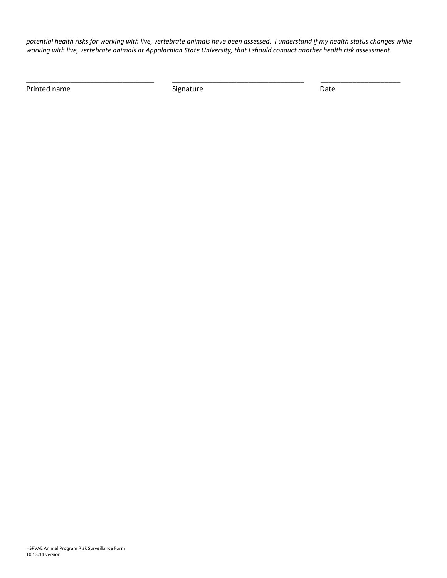*potential health risks for working with live, vertebrate animals have been assessed. I understand if my health status changes while working with live, vertebrate animals at Appalachian State University, that I should conduct another health risk assessment.*

\_\_\_\_\_\_\_\_\_\_\_\_\_\_\_\_\_\_\_\_\_\_\_\_\_\_\_\_\_\_\_\_ \_\_\_\_\_\_\_\_\_\_\_\_\_\_\_\_\_\_\_\_\_\_\_\_\_\_\_\_\_\_\_\_\_ \_\_\_\_\_\_\_\_\_\_\_\_\_\_\_\_\_\_\_\_

Printed name and Date Signature Signature Date Date